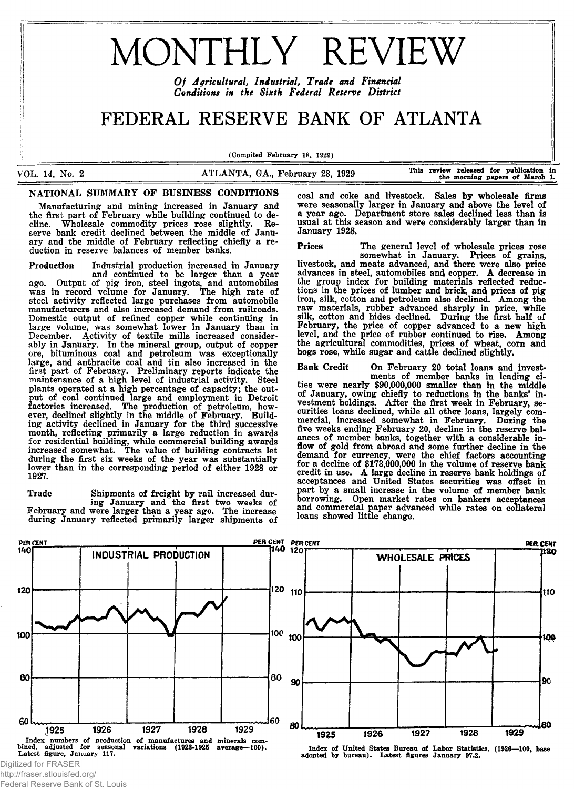# **MONTHLY REVIEW**

*O f Agricultural, Industrial, Trade and Financial Conditions in the Sixth Federal Reserve District*

# FEDERAL RESERVE BANK OF ATLANTA

(Compiled February 18, 1929)

VOL. 14, No. 2 **ATLANTA, GA., February 28, 1929** This review released for publication in the morning papers of March 1.

# NATIONAL SUMMARY OF BUSINESS CONDITIONS

Manufacturing and mining increased in January and the first part of February while building continued to decline. W holesale com modity prices rose slightly. Reserve bank credit declined between the middle of January and the middle of February reflecting chiefly a reduction in reserve balances of member banks.

Production Industrial production increased in January and continued to be larger than a year ago. Output of pig iron, steel ingots, and automobiles was in record volume for January. The high rate of steel activity reflected large purchases from automobile manufacturers and also increased demand from railroads. Domestic output of refined copper while continuing in large volume, was somewhat lower in January than in December. Activity of textile mills increased considerably in January. In the mineral group, output of copper ore, bituminous coal and petroleum was exceptionally large, and anthracite coal and tin also increased in the first part of February. Preliminary reports indicate the maintenance of a high level of industrial activity. Steel plants operated at a high percentage of capacity; the output of coal continued large and employment in Detroit factories increased. The production of petroleum, however, declined slightly in the middle of February. Building activity declined in January for the third successive month, reflecting primarily a large reduction in awards for residential building, while commercial building awards increased som ew hat. The value of building contracts let during the first six weeks of the year was substantially lower than in the corresponding period of either 1928 or 1927.

Trade Shipments of freight by rail increased during January and the first two weeks of February and were larger than a year ago. The increase during January reflected primarily larger shipments of

coal and coke and livestock. Sales by wholesale firms were seasonally larger in January and above the level of a year ago. Department store sales declined less than is usual at this season and were considerably larger than in January 1928.

Prices The general level of wholesale prices rose somewhat in January. Prices of grains, livestock, and meats advanced, and there were also price advances in steel, automobiles and copper. A decrease in the group index for building materials reflected reductions in the prices of lumber and brick, and prices of pig iron, silk, cotton and petroleum also declined. Among the raw materials, rubber advanced sharply in price, while silk, cotton and hides declined. During the first half of February, the price of copper advanced to a new high level, and the price of rubber continued to rise. Among the agricultural commodities, prices of wheat, corn and hogs rose, while sugar and cattle declined slightly.

Bank Credit On February 20 total loans and investments of member banks in leading cities were nearly \$90,000,000 smaller than in the middle of January, owing chiefly to reductions in the banks' investment holdings. After the first week in February, securities loans declined, while all other loans, largely commercial, increased somewhat in February. During the five weeks ending February 20, decline in the reserve balances of member banks, together with a considerable inflow of gold from abroad and some further decline in the demand for currency, were the chief factors accounting for a decline of \$173,000,000 in the volume of reserve bank credit in use. A large decline in reserve bank holdings of acceptances and United States securities was offset in part by a small increase in the volume of member bank borrowing. Open market rates on bankers acceptances and commercial paper advanced while rates on collateral loans showed little change.



http://fraser.stlouisfed.org/ Federal Reserve Bank of St. Louis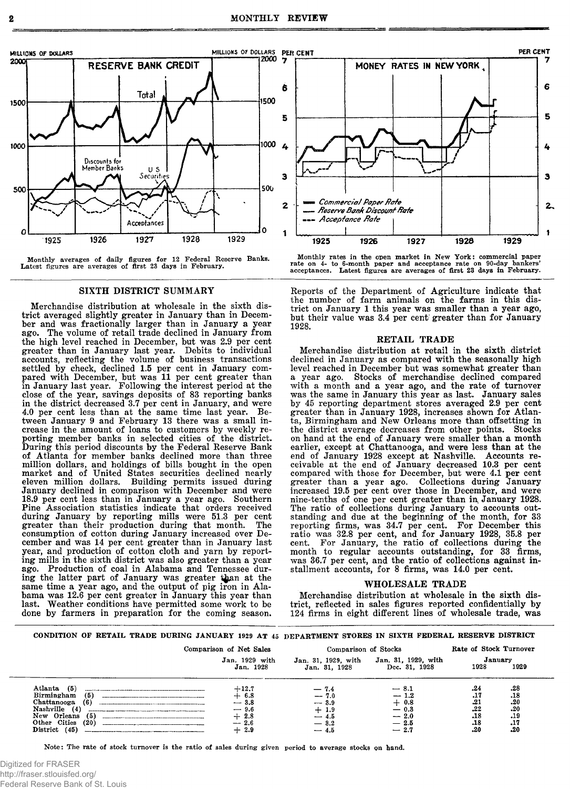

Monthly averages of daily figures for 12 Federal Reserve Banks. Latest figures are averages of first 23 days in February.

# SIXTH DISTRICT SUMMARY

Merchandise distribution at wholesale in the sixth district averaged slightly greater in January than in December and was fractionally larger than in January a year ago. The volume of retail trade declined in January from the high level reached in December, but was 2.9 per cent greater than in January last year. Debits to individual accounts, reflecting the volume of business transactions settled by check, declined 1.5 per cent in January compared with December, but was 11 per cent greater than in January last year. Following the interest period at the close of the year, savings deposits of 83 reporting banks in the district decreased 3.7 per cent in January, and were 4.0 per cent less than at the same time last year. Between January 9 and February 13 there was a small increase in the amount of loans to customers by weekly reporting member banks in selected cities of the district. During this period discounts by the Federal Reserve Bank of Atlanta for member banks declined more than three million dollars, and holdings of bills bought in the open market and of United States securities declined nearly eleven million dollars. Building permits issued during January declined in comparison with December and were 18.9 per cent less than in January a year ago. Southern Pine Association statistics indicate that orders received during January by reporting mills were 51.3 per cent greater than their production during that month. The consumption of cotton during January increased over December and was 14 per cent greater than in January last year, and production of cotton cloth and yarn by reporting mills in the sixth district was also greater than a year ago. Production of coal in Alabama and Tennessee during the latter part of January was greater than at the same time a year ago, and the output of pig iron in Alabama was 12.6 per cent greater in January this year than last. Weather conditions have permitted some work to be Weather conditions have permitted some work to be done by farmers in preparation for the coming season.



Monthly rates in the open market in New York: commercial paper<br>rate on 4- to 6-month paper and acceptance rate on 90-day bankers'<br>acceptances. Latest figures are averages of first 23 days in February.

Reports of the Department of Agriculture indicate that the number of farm animals on the farms in this district on January 1 this year was smaller than a year ago, but their value was 3.4 per cent greater than for January 1928.

#### RETAIL TRADE

Merchandise distribution at retail in the sixth district declined in January as compared with the seasonally high level reached in December but was somewhat greater than a year ago. Stocks of merchandise declined compared with a month and a year ago, and the rate of turnover was the same in January this year as last. January sales by 45 reporting department stores averaged 2.9 per cent greater than in January 1928, increases shown for Atlanta, Birmingham and New Orleans more than offsetting in the district average decreases from other points. Stocks on hand at the end of January were smaller than a month earlier, except at Chattanooga, and were less than at the end of January 1928 except at Nashville. Accounts receivable at the end of January decreased 10.3 per cent compared with those for December, but were 4.1 per cent greater than a year ago. Collections during January increased 19.5 per cent over those in December, and were nine-tenths of one per cent greater than in January 1928. The ratio of collections during January to accounts outstanding and due at the beginning of the month, for 33 reporting firms, was 34.7 per cent. For December this ratio was 32.8 per cent, and for January 1928, 35.8 per cent. For January, the ratio of collections during the month to regular accounts outstanding, for 33 firms, was 36.7 per cent, and the ratio of collections against installment accounts, for 8 firms, was 14.0 per cent.

# WHOLESALE TRADE

Merchandise distribution at wholesale in the sixth district, reflected in sales figures reported confidentially by 124 firms in eight different lines of wholesale trade, was

#### CONDITION OF RETAIL TRADE DURING JANUARY 1929 AT 45 DEPARTMENT STORES IN SIXTH FEDERAL RESERVE DISTRICT

|                                                                                                                                                        | Comparison of Net Sales                                              | Comparison of Stocks                                            |                                                                    | Rate of Stock Turnover                        |                                               |
|--------------------------------------------------------------------------------------------------------------------------------------------------------|----------------------------------------------------------------------|-----------------------------------------------------------------|--------------------------------------------------------------------|-----------------------------------------------|-----------------------------------------------|
|                                                                                                                                                        | Jan. 1929 with<br>Jan. 1928                                          | Jan. 31, 1929, with<br>Jan. 31, 1928                            | Jan. 31, 1929, with<br>Dec. 31, 1928                               | January<br>1928                               | 1929                                          |
| (5)<br>Atlanta<br>(5)<br>Birmingham<br>Chattanooga<br>(6)<br>Nashville<br>(4)<br>(5)<br>New Orleans<br>Other Cities<br>(20)<br>(45)<br><b>District</b> | $+12.7$<br>$+$ 6.8<br>$-3.8$<br>$-9.6$<br>$+2.8$<br>$-2.6$<br>$+2.9$ | $-7.4$<br>$-7.0$<br>$-3.9$<br>1.9<br>$-4.5$<br>$-3.2$<br>$-4.5$ | $-8.1$<br>$-1.2$<br>$+0.8$<br>$-0.3$<br>$-2.0$<br>$-2.5$<br>$-2.7$ | .24<br>.17<br>.21<br>.22<br>.18<br>.18<br>.20 | .28<br>.18<br>.20<br>.20<br>.19<br>.17<br>.20 |

**Note: The rate of stock turnover is the ratio of sales during given period to average stocks on hand.**

Digitized for FRASER http://fraser.stlouisfed.org/ Federal Reserve Bank of St. Louis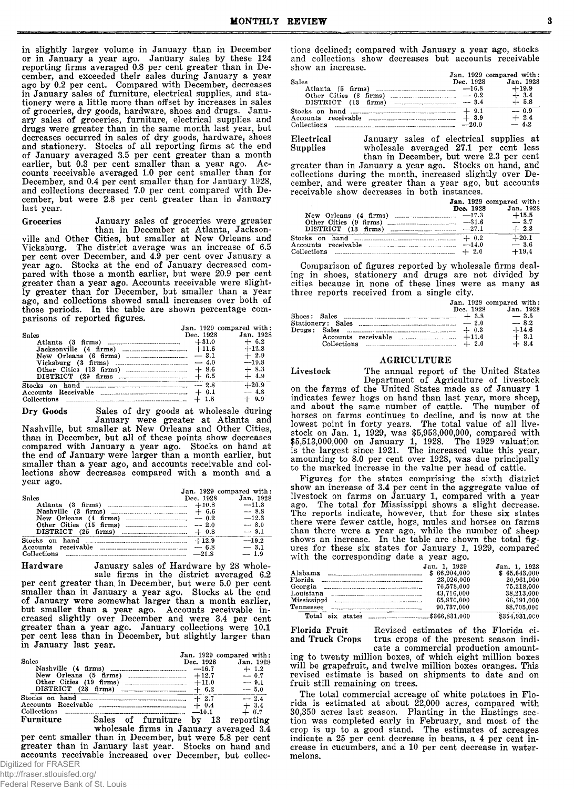in slightly larger volume in January than in December or in January a year ago. January sales by these 124 reporting firms averaged 0.8 per cent greater than in December, and exceeded their sales during January a year ago by 0.2 per cent. Compared with December, decreases in January sales of furniture, electrical supplies, and stationery were a little more than offset by increases in sales of groceries, dry goods, hardware, shoes and drugs. January sales of groceries, furniture, electrical supplies and drugs were greater than in the same month last year, but decreases occurred in sales of dry goods, hardware, shoes and stationery. Stocks of all reporting firms at the end of January averaged 3.5 per cent greater than a month earlier, but 0.3 per cent smaller than a year ago. Accounts receivable averaged 1.0 per cent smaller than for December, and 0.4 per cent smaller than for January 1928, and collections decreased 7.0 per cent compared with December, but were 2.8 per cent greater than in January last year.

Groceries January sales of groceries were greater

than in December at Atlanta, Jacksonville and Other Cities, but smaller at New Orleans and Vicksburg. The district average was an increase of 6.5 per cent over December, and 4.9 per cent over January a year ago. Stocks at the end of January decreased compared with those a month earlier, but were 20.9 per cent greater than a year ago. Accounts receivable were slightly greater than for December, but smaller than a year ago, and collections showed small increases over both of those periods. In the table are shown percentage comparisons of reported figures.

|                                                                          | Jan. 1929 compared with: |           |
|--------------------------------------------------------------------------|--------------------------|-----------|
| Sales                                                                    | Dec. 1928                | Jan. 1928 |
|                                                                          | $+31.0$                  | $+ 6.2$   |
|                                                                          |                          | $+12.8$   |
| New Orleans $(6 \text{ firms})$ $-3.1$                                   |                          | $+2.9$    |
|                                                                          |                          | $-19.8$   |
|                                                                          | $+8.6$                   | $+8.3$    |
| DISTRICT $(29$ firms $+6.5$                                              |                          | $+4.9$    |
| Stocks on hand $\ldots$ $\ldots$ $\ldots$ $\ldots$ $\ldots$ $\ldots$ 2.8 |                          | $+20.9$   |
|                                                                          | $+ 0.1$                  | $-4.8$    |
|                                                                          | $+1.8$                   | $+ 0.9$   |

Dry Goods Sales of dry goods at wholesale during January were greater at Atlanta and Nashville, but smaller at New Orleans and Other Cities, than in December, but all of these points show decreases compared with January a year ago. Stocks on hand at the end of January were larger than a month earlier, but smaller than a year ago, and accounts receivable and collections show decreases compared with a month and a year ago.

|                                 | Jan. 1929 compared with: |           |
|---------------------------------|--------------------------|-----------|
| Sales                           | Dec. 1928                | Jan. 1928 |
|                                 |                          | $-11.8$   |
|                                 |                          | $-8.8$    |
|                                 |                          | $-12.3$   |
|                                 |                          | $-8.0$    |
|                                 |                          | $-9.1$    |
| Stocks on hand $\ldots$ $+12.9$ |                          | $-19.2$   |
|                                 | $-6.8$                   | $-3.1$    |
| Collections<br>$-21.8$          |                          | $-1.9$    |

**Hardware** January sales of Hardware by 28 wholesale firms in the district averaged 6.2 per cent greater than in December, but were 5.0 per cent smaller than in January a year ago. Stocks at the end of January were somewhat larger than a month earlier, but smaller than a year ago. Accounts receivable increased slightly over December and were 3.4 per cent greater than a year ago. January collections were 10.1

per cent less than in December, but slightly larger than

| in January last year. |                    |                   |                                       |
|-----------------------|--------------------|-------------------|---------------------------------------|
| Sales                 |                    | De <b>c.</b> 1928 | Jan. 1929 compared with:<br>Jan. 1928 |
|                       |                    |                   | $+1.2$                                |
|                       |                    |                   | $-0.7$                                |
|                       |                    | $+11.0$           | $-9.1$                                |
|                       |                    |                   | $-5.0$                                |
|                       |                    | $+2.7$            | $-2.4$                                |
| Accounts Receivable   |                    | $+ 0.4$           | $+3.4$                                |
| Collections           |                    | $-10.1$           | $+ 0.7$                               |
| Furniture             | Sales of furniture | bv<br>13          | reporting                             |

wholesale firms in January averaged 3.4 per cent smaller than in December, but were 5.8 per cent greater than in January last year. Stocks on hand and accounts receivable increased over December, but collec-Digitized for FRASER

http://fraser.stlouisfed.org/

Federal Reserve Bank of St. Louis

tions declined; compared with January a year ago, stocks and collections show decreases but accounts receivable show an increase.

|                                                                                                                                                                                                                                                                                                                                                     | Jan. 1929 compared with: |         |
|-----------------------------------------------------------------------------------------------------------------------------------------------------------------------------------------------------------------------------------------------------------------------------------------------------------------------------------------------------|--------------------------|---------|
| Sales                                                                                                                                                                                                                                                                                                                                               | Dec. 1928 Jan. 1928      |         |
| Atlanta (5 firms) $\ldots$ $-16.8$ +19.9                                                                                                                                                                                                                                                                                                            |                          |         |
|                                                                                                                                                                                                                                                                                                                                                     |                          | $+3.4$  |
|                                                                                                                                                                                                                                                                                                                                                     |                          | $+ 5.8$ |
| Stocks on hand $\ldots$ , $\ldots$ , $\ldots$ , $\ldots$ , $\ldots$ , $\ldots$ , $\ldots$ , $\ldots$ , $\ldots$ , $\ldots$ , $\ldots$ , $\ldots$ , $\ldots$ , $\ldots$ , $\ldots$ , $\ldots$ , $\ldots$ , $\ldots$ , $\ldots$ , $\ldots$ , $\ldots$ , $\ldots$ , $\ldots$ , $\ldots$ , $\ldots$ , $\ldots$ , $\ldots$ , $\ldots$ , $\ldots$ , $\ld$ |                          | $-0.9$  |
| Accounts receivable $\frac{1}{2}$ + 3.9                                                                                                                                                                                                                                                                                                             |                          | $+2.4$  |
| Collections $\ldots$ $\ldots$ $\ldots$ $\ldots$ $\ldots$ $\ldots$ $\ldots$ $\ldots$ $\ldots$ $\ldots$ $\ldots$ $\ldots$                                                                                                                                                                                                                             |                          | $-4.2$  |

**Electrical** Supplies January sales of electrical supplies at wholesale averaged 27.1 per cent less

than in December, but were 2.3 per cent greater than in January a year ago. Stocks on hand, and collections during the month, increased slightly over December, and were greater than a year ago, but accounts receivable show decreases in both instances.

|                     | Jan. 1929 compared with:<br>Dec. 1928 | Jan. 1928 |
|---------------------|---------------------------------------|-----------|
|                     |                                       |           |
|                     |                                       | $-3.7$    |
|                     |                                       | $+2.3$    |
|                     | $+ 0.2$                               | $+20.1$   |
| Accounts receivable | $-14.0$                               | $-3.6$    |
| Collections         | $+2.0$                                | $+19.4$   |

Comparison of figures reported by wholesale firms dealing in shoes, stationery and drugs are not divided by cities because in none of these lines were as many as three reports received from a single city.

|                                   |           | Jan. 1929 compared with: |
|-----------------------------------|-----------|--------------------------|
|                                   | Dec. 1928 | Jan. 1928                |
|                                   |           |                          |
| Stationery: Sales $\ldots$ $-2.0$ |           | $-8.2$                   |
|                                   | $+0.3$    | $+14.6$                  |
| Accounts receivable $$ $+11.6$    |           | $+3.1$                   |
| Collections $\ldots$ $+ 2.0$      |           | $-.4$                    |

# AGRICULTURE

Livestock The annual report of the United States Department of Agriculture of livestock

on the farms of the United States made as of January 1 indicates fewer hogs on hand than last year, more sheep, and about the same number of cattle. The number of horses on farms continues to decline, and is now at the lowest point in forty years. The total value of all livestock on Jan. 1, 1929, was \$5,953,000,000, compared with \$5,513,000,000 on January 1, 1928. The 1929 valuation is the largest since 1921. The increased value this year, amounting to 8.0 per cent over 1928, was due principally to the marked increase in the value per head of cattle.

Figures for the states comprising the sixth district show an increase of 3.4 per cent in the aggregate value of livestock on farms on January 1, compared with a year ago. The total for Mississippi shows a slight decrease. The reports indicate, however, that for these six states there were fewer cattle, hogs, mules and horses on farms than there were a year ago, while the number of sheep shows an increase. In the table are shown the total figures for these six states for January 1, 1929, compared with the corresponding date a year ago.

|             | Jan. 1. 1929 | Jan. 1, 1928  |
|-------------|--------------|---------------|
| Alabama     | \$66,904,000 | \$65,643,000  |
| Florida     | 23,026,000   | 20.961.000    |
| Georgia     | 76.578.000   | 75,218,000    |
| Louisiana   | 43,716,000   | 38.213.000    |
| Mississippi | 65,870,000   | 66.191.000    |
| Tennessee   | 90.737.000   | 88.705.000    |
| Total       |              | \$354,931,000 |

Florida Fruit Revised estimates of the Florida ciand Truck Crops trus crops of the present season inditrus crops of the present season indi-

cate a commercial production amounting to twenty million boxes, of which eight million boxes will be grapefruit, and twelve million boxes oranges. This revised estimate is based on shipments to date and on fruit still remaining on trees.

The total commercial acreage of white potatoes in Florida is estimated at about 22,000 acres, compared with 30,350 acres last season. Planting in the Hastings section was completed early in February, and most of the crop is up to a good stand. The estim ates of acreages indicate a 25 per cent decrease in beans, a 4 per cent increase in cucumbers, and a 10 per cent decrease in watermelons.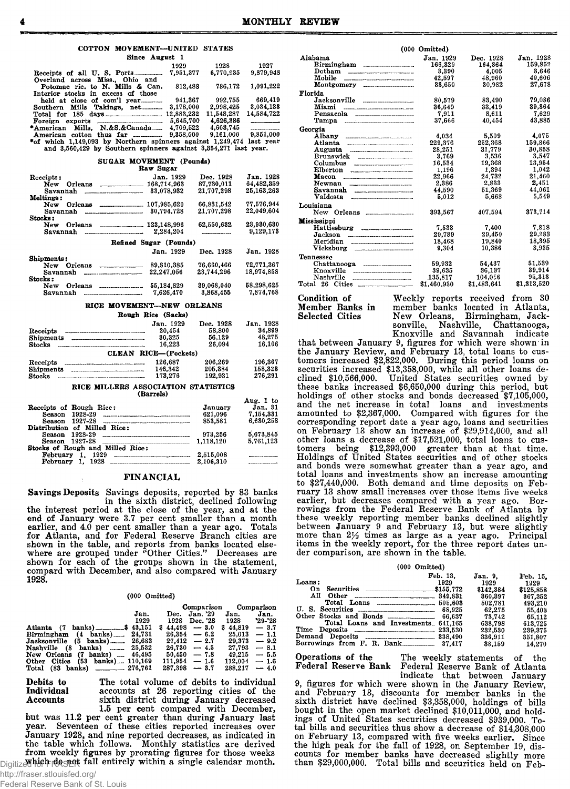# COTTON MOVEMENT—UNITED STATES

| Since August 1                                             |            |            |                 |
|------------------------------------------------------------|------------|------------|-----------------|
|                                                            | 1929       | 1928       | 1927            |
|                                                            | 7.951.377  | 6.770.935  | 9,879,948       |
| Overland across Miss., Ohio and                            |            |            |                 |
| Potomac ric. to N. Mills & Can.                            | 812,488    | 786,172    | 1,091,222       |
| Interior stocks in excess of those                         |            |            |                 |
|                                                            | 941.367    | 992.755    | 669.419         |
| Southern Mills Takings, net                                | 3.178.000  | 2.998.425  | 3.034.133       |
| Total for $185$ days                                       | 12.883.232 | 11,548,287 | 14.584.722      |
|                                                            | 5.645.700  | 4.626.386  |                 |
| *American Mills. N.&S.&Canada                              | 4.709.522  | 4.603.745  | --------------- |
| American cotton thus far _________                         | 9,358,000  | 9.161,000  | 9,851,000       |
| tof which 1,140,002 by Monthonn enjoyees against 1,240,474 |            |            | loot voor       |

♦of which 1,149,093 by N orthern spinners against 1,249,474 last year and 3,560,429 by Southern spinners against 3,354,271 last year.

SUGAR MOVEMENT (Pounds)

|                  | Raw Sugar              |            |            |
|------------------|------------------------|------------|------------|
| Receipts:        | Jan. 1929              | Dec. 1928  | Jan. 1928  |
| Orleans<br>New   | 168,714,963            | 87.730.011 | 64.482.359 |
| Savannah         | 33.078.932             | 21.707.298 | 25,163,263 |
| <b>Meltings:</b> |                        |            |            |
| Orleans<br>New   | 107.985.620            | 66.831.542 | 77.576.944 |
| Savannah         | 30,794,728             | 21.707.298 | 22.049.604 |
| Stocks:          |                        |            |            |
| Orleans<br>New   | 123,148,996            | 62.550.632 | 23.930.630 |
| Savannah         | 2.284.204              |            | 9.129.173  |
|                  | Refined Sugar (Pounds) |            |            |
|                  | Jan. 1929              | Dec. 1928  | Jan. 1928  |
| Shipments:       |                        |            |            |
| New Orleans      | 89.810.385             | 76.660.466 | 72.771.367 |
| Savannah         | 22.247.056             | 23.744.296 | 18.974.858 |
| Stocks:          |                        |            |            |
| Orleans<br>New   | 55.184.829             | 39,068,040 | 58.298.625 |
| Savannah         | 7.626.470              | 3.868.455  | 7.874,768  |

#### RICE MOVEMENT—NEW ORLEANS

|                      | Rough Rice (Sacks) |           |           |
|----------------------|--------------------|-----------|-----------|
|                      | Jan. 1929          | Dec. 1928 | Jan. 1928 |
| Receipts             | 20,454             | 58,800    | 34.899    |
| <b>Shipments</b>     | 30.325             | 56.129    | 48.275    |
| Stocks               | 16.223             | 26.094    | 16.106    |
| CLEAN RICE-(Pockets) |                    |           |           |
| Receipts             | 126.687            | 206,269   | 196,367   |
| <b>Shipments</b>     | 146.342            | 205,384   | 158.323   |
| Stocks               | 173,276            | 192.931   | 276.291   |

#### RICE MILLERS ASSOCIATION STATISTICS (Barrels)

|                                  |           | Aug. 1 to |
|----------------------------------|-----------|-----------|
| Receipts of Rough Rice:          | January   | Jan. 31   |
| Season 1928-29                   | 621.096   | 7.154.331 |
| Season 1927-28                   | 853.581   | 6.630.258 |
| Distribution of Milled Rice:     |           |           |
| Season 1928-29                   | 973,256   | 5,673.845 |
| Season 1927-28                   | 1.118.120 | 5.761.123 |
| Stocks of Rough and Milled Rice: |           |           |
| February 1. 1929                 | 2,515,008 |           |
| February                         | 2.106.310 |           |
|                                  |           |           |

# FIN AN CIAL

Savings Deposits Savings deposits, reported by 83 banks in the sixth district, declined following the interest period at the close of the year, and at the end of January were 3.7 per cent smaller than a month earlier, and 4.0 per cent smaller than a year ago. Totals for Atlanta, and for Federal Reserve Branch cities are shown in the table, and reports from banks located elsewhere are grouped under "Other Cities." Decreases are shown for each of the groups shown in the statement, compard with December, and also compared with January 1928.

#### (000 Omitted)

|                                         |      |                 | Comparison |                 | Comparison |
|-----------------------------------------|------|-----------------|------------|-----------------|------------|
|                                         | Jan. | Dec. Jan. '29   |            | Jan.            | Jan.       |
|                                         | 1929 | 1928 Dec. '28   |            | 1928            | '29-'28    |
|                                         |      | $$44.498 - 3.0$ |            | $$44.819 - 3.7$ |            |
| Birmingham $(4 \text{ banks})$ $24,731$ |      | $26.354 - 6.2$  |            | $25.013 - 1.1$  |            |
| $Jacksonville$ (5 banks) 26,683         |      | $27.412 - 2.7$  |            | $29.373 - 9.2$  |            |
| Nashville (8 banks)  25,532             |      | $26.730 - 4.5$  |            | $27.793 - 8.1$  |            |
| New Orleans (7 banks)  46,495           |      | $50.450 - 7.8$  |            | $49.215 - 5.5$  |            |
| Other Cities (53 banks) 110,169         |      | $111.954 - 1.6$ |            | $112.004 - 1.6$ |            |
| Total (83 banks) _________ 276,761      |      | $287.398 - 3.7$ |            | $288.217 - 4.0$ |            |

Debits to The total volume of debits to individual<br>Individual accounts at 26 reporting cities of the Individual accounts at 26 reporting cities of the Accounts sixth district during January decreased Accounts sixth district during January decreased

1.5 per cent compared with December, but was 11.2 per cent greater than during January last year. Seventeen of these cities reported increases over January 1928, and nine reported decreases, as indicated in the table which follows. Monthly statistics are derived from weekly figures by prorating figures for those weeks  $_{\text{Digitize}}$  which degnot fall entirely within a single calendar month.

|                                                                                                        | $(000 \t Omitted)$ |             |             |
|--------------------------------------------------------------------------------------------------------|--------------------|-------------|-------------|
| Alabama                                                                                                | Jan. 1929          | Dec. 1928   | Jan. 1928   |
| Birmingham                                                                                             | 166,329            | 164,864     | 159,852     |
|                                                                                                        | 3,390              | 4.005       | 3.646       |
| Mobile                                                                                                 | 42,597             | 48,960      | 40.606      |
| Montgomery __________________                                                                          | 33,650             | 30,982      | 27.678      |
| Florida                                                                                                |                    |             |             |
|                                                                                                        | 80,579             | 83,490      | 79.086      |
| Miami                                                                                                  | 36,649             | 33.419      | 39,364      |
|                                                                                                        | 7.911              | 8.611       | 7,629       |
|                                                                                                        | 37.666             | 40.454      | 43,885      |
| Georgia                                                                                                |                    |             |             |
| Albany                                                                                                 | 4,034              | 5,509       | 4,075       |
| Atlanta                                                                                                | 229,376            | 252,368     | 159,866     |
| Augusta<br>----------------------------------                                                          | 28,251             | 31,779      | 30,858      |
| Brunswick _________________                                                                            | 3.769              | 3,536       | 3.547       |
|                                                                                                        | 16,534             | 19,368      | 13,954      |
| ${\bf Elberton}$                                                                                       | 1,196              | 1,394       | 1,042       |
| Macon                                                                                                  | 22,966             | 24,732      | 21,460      |
| Newnan                                                                                                 | 2.386              | 2,833       | 2,451       |
| Savannah                                                                                               | 44.590             | 51,369      | 44,061      |
|                                                                                                        | 5.012              | 5.668       | 5.549       |
| Louisiana                                                                                              |                    |             |             |
|                                                                                                        | 393.567            | 407.594     | 373,714     |
| <b>Mississippi</b>                                                                                     |                    |             |             |
|                                                                                                        | 7.533              | 7.400       | 7.818       |
| Jackson                                                                                                | 29.789             | 29,450      | 29,283      |
| Meridian                                                                                               | 18,468             | 19.840      | 18,395      |
| Vicksburg ___________________                                                                          | 9,304              | 10,386      | 8.935       |
| <b>Tennessee</b>                                                                                       |                    |             |             |
|                                                                                                        | 59.932             | 54.437      | 51,539      |
| Knoxville<br>--------------------------------                                                          | 39,635             | 36.137      | 39.914      |
| Nashville                                                                                              | 135,817            | 104.056     | 95,313      |
| $\begin{array}{ccc} \textbf{Total} & 26 & \textbf{Cities} & \dots & \dots & \dots & \dots \end{array}$ | \$1,460,930        | \$1,483,641 | \$1,313,520 |
|                                                                                                        |                    |             |             |

Condition of Weekly reports received from 30<br>Member Banks in member banks located in Atlanta, Member Banks in member banks located in Atlanta, Selected Cities Mew Orleans, Birmingham, Jacksonville, Nashville, Chattanooga, Knoxville and Savannah indicate

that between January 9, figures for which were shown in the January Review, and February 13, total loans to customers increased \$2,822,000. During this period loans on securities increased \$13,358,000, while all other loans declined \$10,566,000. United States securities owned by these banks increased \$6,650,000 during this period, but holdings of other stocks and bonds decreased \$7,105,000, and the net increase in total loans and investments amounted to \$2,367,000. Compared with figures for the corresponding report date a year ago, loans and securities on February 13 show an increase of \$29,914,000, and all other loans a decrease of  $$17,521,000,$  total loans to cus- $\text{tomers}$  being \$12,393,000 greater than at that time. Holdings of United States securities and of other stocks and bonds were somewhat greater than a year ago, and total loans and investments show an increase amounting to \$27,440,000. Both demand and time deposits on February 13 show small increases over those items five weeks earlier, but decreases compared with a year ago. Borrowings from the Federal Reserve Bank of Atlanta by these weekly reporting member banks declined slightly between January 9 and February 13, but were slightly more than  $2\frac{1}{2}$  times as large as a year ago. Principal items in the weekly report, for the three report dates under comparison, are shown in the table.

| $(000 \t Omitted)$                      |           |           |
|-----------------------------------------|-----------|-----------|
| Feb. 13.                                | Jan. 9.   | Feb. 15.  |
| Loans:<br>1929                          | 1929      | 1929      |
| On.                                     | \$142,384 | \$125,858 |
| All<br>Other                            | 360,397   | 367,352   |
| Total Loans<br>505.603                  | 502.781   | 493.210   |
| U. S. Securities <b>Election</b> 68.925 | 62.275    | 55.403    |
|                                         | 73.742    | 65.112    |
| Total Loans and Investments, 641,165    | 638.798   | 613.725   |
|                                         | 232,530   | 239,375   |
|                                         | 336,911   | 351,807   |
| Borrowings from F. R. Bank              | 38.159    | 14.270    |

Operations of the The weekly statements of the Federal Reserve Bank Federal Reserve Bank of Atlanta indicate that between January

9, figures for which were shown in the January Review, and February 13, discounts for member banks in the sixth district have declined \$3,358,000, holdings of bills bought in the open market declined  $$10,011,000$ , and holdings of United States securities decreased \$939,000. Total bills and securities thus show a decrease of  $$14,308,000$ on February 13, compared with five weeks earlier. Since the high peak for the fall of 1928, on September 19, discounts for member banks have decreased slightly more than \$29,000,000. Total bills and securities held on Feb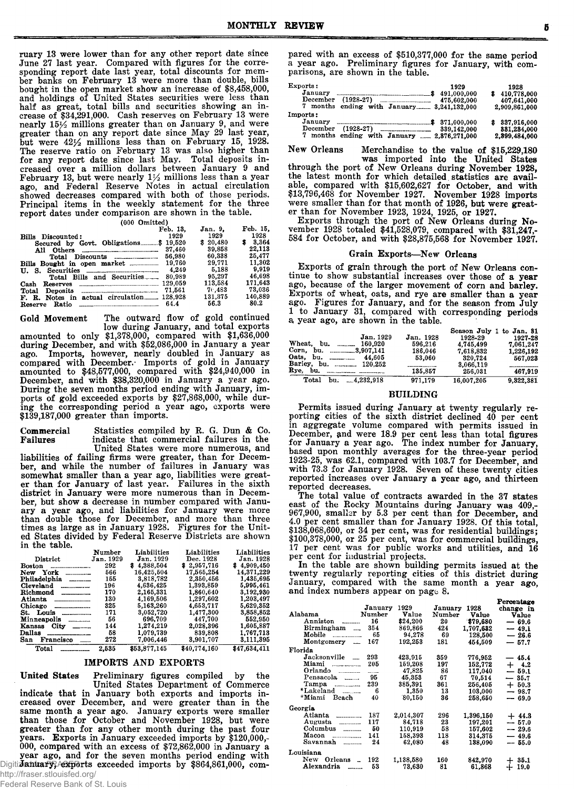ruary 13 were lower than for any other report date since June 27 last year. Compared with figures for the corresponding report date last year, total discounts for member banks on February 13 were more than double, bills bought in the open market show an increase of \$8,458,000, and holdings of United States securities were less than half as great, total bills and securities showing an increase of \$34,291,000. Cash reserves on February 13 were nearly  $15\frac{1}{2}$  millions greater than on January 9, and were greater than on any report date since May 29 last year, but were  $42\frac{1}{2}$  millions less than on February 15, 1928. The reserve ratio on February 13 was also higher than for any report date since last May. Total deposits increased over a million dollars between January 9 and February 13, but were nearly  $1\frac{1}{2}$  millions less than a year ago, and Federal Reserve Notes in actual circulation showed decreases com pared w ith both of those periods. Principal items in the weekly statement for the three report dates under comparison are shown in the table.

(000 Omitted)

|                                                                         | Feb. 13. | Jan. 9.  | Feb. 15. |
|-------------------------------------------------------------------------|----------|----------|----------|
| Bills Discounted:                                                       | 1929     | 1929     | 1928     |
| Secured by Govt. Obligations\$ 19,520                                   |          | \$20,480 | \$3.364  |
|                                                                         | 37,460   | 39.858   | 22,113   |
|                                                                         | 56,980   | 60.338   | 25.477   |
|                                                                         |          | 29.771   | 11.302   |
|                                                                         | 4.249    | 5.188    | 9.919    |
| Total Bills and Securities                                              | 80,989   | 95.297   | 46.698   |
| Cash<br>Reserves                                                        |          | 113.584  | 171.643  |
| Deposits $\Box$<br>Total                                                | 71.561   | 76.483   | 73,036   |
| F. R. Notes in actual circulation 128.928                               |          | 131.375  | 140.889  |
| Ratio<br>the contract of the contract of the contract of the<br>Reserve | 64.4     | 56.3     | 80.2     |

Gold Movement The outward flow of gold continued low during January, and total exports

am ounted to only \$1,378,000, com pared w ith \$1,636,000 during December, and with \$52,086,000 in January a year ago. Imports, however, nearly doubled in January as compared with December. Imports of gold in January am ounted to \$48,577,000, com pared w ith \$24,940,000 in December, and with \$38,320,000 in January a year ago. During the seven months period ending with January, imports of gold exceeded exports by \$27,868,000, while during the corresponding period a year ago, exports were  $$139,187,000$  greater than imports.

Commercial Statistics compiled by R. G. Dun & Co.<br>Failures indicate that commercial failures in the indicate that commercial failures in the United States were more numerous, and

liabilities of failing firms were greater, than for December, and while the number of failures in January was somewhat smaller than a year ago, liabilities were greater than for January of last year. Failures in the sixth district in January were more numerous than in December, but show a decrease in number compared with January a year ago, and liabilities for January were more than double those for December, and more than three times as large as in January 1928. Figures for the United States divided by Federal Reserve Districts are shown in the table.

|                        | Number    | Liabilities      | Liabilities  | Liabilities    |
|------------------------|-----------|------------------|--------------|----------------|
| District               | Jan. 1929 | <b>Jan.</b> 1929 | Dec. 1928    | Jan. 1928      |
| <b>Boston</b>          | 292       | \$4.388.504      | \$2,957,716  | 8<br>4.909.450 |
| York<br>New            | 566       | 16,425,504       | 17.565,254   | 14,371,229     |
| Philadelphia           | 155       | 3,818,782        | 2.350,456    | 1,435,695      |
| Cleveland              | 196       | 4,636,425        | 1,393,859    | 5,995,461      |
| Richmond               | 170       | 2.165.331        | 1.860.640    | 3.192.930      |
| Atlanta                | 130       | 4.169.506        | 1.297.602    | 1,203,497      |
| Chicago                | 325       | 5,163,260        | 4,653,717    | 5,629,352      |
| St. Louis              | 171       | 3.052.720        | 1.477,300    | 3,858,852      |
| Minneapolis            | 56        | 696.709          | 447.700      | 552.950        |
| $City$ _____<br>Kansas | 144       | 1,274,219        | 2,028,396    | 1.605.887      |
| Dallas                 | 58        | 1.079.739        | 839,808      | 1.767.713      |
| San Francisco          | 272       | 7.006,446        | 3,901,707    | 3,111,395      |
| Total                  | 2.535     | \$53,877,145     | \$40.774.160 | \$47.634.411   |

# IM PORTS AND EXPORTS

United States Preliminary figures compiled by the United States Department of Commerce indicate that in January both exports and imports increased over December, and were greater than in the same month a year ago. January exports were smaller than those for October and November 1928, but were greater than for any other month during the past four years. Exports in January exceeded imports by \$120,000,-000, compared with an excess of  $$72,862,000$  in January a year ago, and for the seven months period ending with Digitidanuary, Axperts exceeded imports by \$864,861,000, compared with an excess of \$510,377,000 for the same period a year ago. Preliminary figures for January, with comparisons, are shown in the table.

| Exports:<br>January<br>December<br>7 months ending with January 3,241,132,000  | 1929<br>491,000,000<br>475.602.000 | 1928<br>\$410,778,000<br>407,641,000<br>2,909,861,000 |
|--------------------------------------------------------------------------------|------------------------------------|-------------------------------------------------------|
| Imports:<br>January<br>December<br>7 months ending with January  2.876.271.000 | 371.000.000<br>339.142.000         | 337,916,000<br>881,284,000<br>2.399.484.000           |

New Orleans Merchandise to the value of \$15,229,180

was imported into the United States through the port of New Orleans during November 1928, the latest month for which detailed statistics are available, compared with \$15,602,627 for October, and with \$13,796,468 for November 1927. November 1928 imports were smaller than for that month of 1926, but were greater than for November 1923, 1924, 1925, or 1927.

Exports through the port of New Orleans during November 1928 totaled \$41,528,079, compared with \$31,247,-584 for October, and with \$28,875,568 for November 1927.

## Grain Exports-New Orleans

Exports of grain through the port of New Orleans continue to show substantial increases over those of a year ago, because of the larger movement of corn and barley. Exports of wheat, oats, and rye are smaller than a year ago. Figures for January, and for the season from July 1 to January 31, compared with corresponding periods a year ago, are shown in the table. Season July 1 to Jan. 81

|           |            | to Jan. 81    |
|-----------|------------|---------------|
| Jan. 1928 | 1928-29    | 1927-28       |
| 596.216   | 4.745.499  | 7.061.247     |
| 186.046   | 7.618.832  | 1.226.192     |
| 53,060    | 320.724    | 567.023       |
|           | 3,066,119  |               |
| 135,857   | 256.031    | 467.919       |
| 971.179   | 16.007.205 | 9.322.381     |
|           |            | Season July 1 |

#### BUILDING

Permits issued during January at twenty regularly reporting cities of the sixth district declined 40 per cent in aggregate volume compared with permits issued in December, and were 18.9 per cent less than total figures for January a year ago. The index number for January, based upon monthly averages for the three-year period 1923-25, was 62.1, compared with 103.7 for December, and with 73.3 for January 1928. Seven of these twenty cities reported increases over January a year ago, and thirteen reported decreases.

The total value of contracts awarded in the 37 states east of the Rocky Mountains during January was 409,-967,900, smaller by 5.3 per cent than for December, and 4.0 per cent smaller than for January 1928. Of this total,  $$138,068,600$ , or 34 per cent, was for residential buildings; \$100,378,000, or 25 per cent, was for commercial buildings, 17 per cent was for public works and utilities, and 16 per cent for industrial projects.

In the table are shown building permits issued at the twenty regularly reporting cities of this district during January, compared with the same month a year ago, and index numbers appear on page 8.

**Persontage** 

|                              |         |           |         |           | T airchmeka |
|------------------------------|---------|-----------|---------|-----------|-------------|
|                              | January | 1929      | January | 1928      | change in   |
| Alabama                      | Number  | Value     | Number  | Value     | Value       |
| Anniston                     | 16      | \$24,200  | 20      | \$79.680  | $-69.6$     |
| Birmingham                   | 354     | 869,866   | 424     | 1,707,632 | $-49.1$     |
| Mobile                       | 65      | 94,278    | 69      | 128.500   | $-26.6$     |
| Montgomery<br>$\overline{a}$ | 167     | 192,253   | 181     | 454.509   | $-57.7$     |
| Florida                      |         |           |         |           |             |
| Jacksonville <sub>---</sub>  | 293     | 423,915   | 359     | 776,952   | $-45.4$     |
| Miami<br>----------------    | 205     | 159.208   | 197     | 152,772   | $+$ 4.2     |
| Orlando                      | -----   | 47,825    | 86      | 117.040   | $-59.1$     |
| Pensacola                    | 95      | 45,353    | 67      | 70,514    | 35.7        |
| Tampa<br>--------------      | 239     | 385,391   | 361     | 256,405   | $+50.3$     |
| *Lakeland                    | 6       | 1.350     | 13      | 103,000   | $-98.7$     |
| *Miami<br>Beach              | 40      | 80.150    | 36      | 258.650   | $-69.0$     |
| Georgia                      |         |           |         |           |             |
| Atlanta<br>---------------   | 187     | 2,014,307 | 296     | 1,396,150 | $+44.3$     |
| Augusta<br>------------      | 117     | 84.718    | 23      | 197.201   | $-57.0$     |
| Columbus                     | 50      | 110.919   | 58      | 157,602   | $-29.6$     |
| Macon<br>----------------    | 141     | 158,393   | 118     | 314,375   | $-49.6$     |
| Savannah                     | 24      | 62,080    | 48      | 138.090   | $-55.0$     |
| Louisiana                    |         |           |         |           |             |
| New<br>Orleans               | 192     | 1,138,580 | 160     | 842,970   | 35.1        |
| Alexandria                   | 53      | 73.630    | 81      | 61,868    | 19.0        |
|                              |         |           |         |           |             |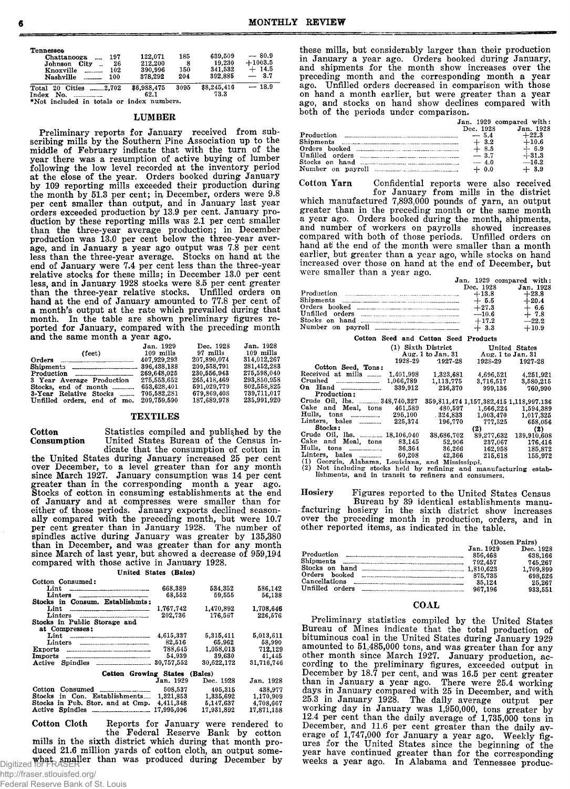| Tennessee<br>197<br>Chattanooga<br>26<br>City<br>Johnson<br>102<br>Knoxville<br>Nashville<br>100 | 122.071<br>212,200<br>390.996<br>378,292 | 185<br>8<br>150<br>204 | 639.509<br>19.230<br>341,532<br>392.885 | $-80.9$<br>$+1003.5$<br>$+14.5$<br>3.7 |
|--------------------------------------------------------------------------------------------------|------------------------------------------|------------------------|-----------------------------------------|----------------------------------------|
| 2,702<br><b>Cities</b><br>20<br>$\operatorname{\textsf{Total}}$<br>Index<br>No.                  | \$6,988,475<br>62.1                      | 3095                   | \$8,245,416<br>73.3                     | $-18.9$                                |

Index No.................... 62.1 ♦Not included in totals or index numbers.

#### LUM BER

Preliminary reports for January received from subscribing mills by the Southern' Pine Association up to the middle of February indicate that with the turn of the year there was a resumption of active buying of lumber following the low level recorded at the inventory period at the close of the year. Orders booked during January by 109 reporting mills exceeded their production during the month by 51.3 per cent; in December, orders were 9.8 per cent smaller than output, and in January last year orders exceeded production by 13.9 per cent. January production by these reporting mills was 2.1 per cent smaller than the three-year average production; in December production was 13.0 per cent below the three-year average, and in January a year ago output was 7.8 per cent less than the three-year average. Stocks on hand at the end of January were 7.4 per cent less than the three-year relative stocks for these mills; in December 13.0 per cent less, and in January 1928 stocks were 8.5 per cent greater than the three-year relative stocks. Unfilled orders on hand at the end of January amounted to 77.8 per cent of a month's output at the rate which prevailed during that month. In the table are shown preliminary figures reported for January, compared with the preceding month and the same month a year ago.

| $\frac{1}{2}$               |             |             |             |
|-----------------------------|-------------|-------------|-------------|
|                             | Jan. 1929   | Dec. 1928   | Jan. 1928   |
| $(\text{feet})$             | $109$ mills | $97$ mills  | $109$ mills |
| Orders <u></u>              | 407.929.293 | 207.890.074 | 314.012.267 |
|                             | 396.438.188 | 209.558.791 | 281.452.283 |
|                             | 269.648.025 | 230.556.943 | 275,598,040 |
| 3 Year Average Production   | 275.553.652 | 265,418,469 | 293.850.958 |
| Stocks, end of month        | 653.628.401 | 591,029,779 | 802.558.825 |
| 3-Year Relative Stocks      | 705.582.281 | 679.869.408 | 739,711,017 |
| Unfilled orders, end of mo. | 209,759,590 | 187.689.978 | 235,991,920 |
|                             |             |             |             |

# **TEXTILES**

Cotton Statistics compiled and published by the **Consumption** United States Bureau of the Census indicate that the consumption of cotton in

the United States during January increased 25 per cent over December, to a level greater than for any month since March 1927. January consumption was 14 per cent greater than in the corresponding month a year ago. Stocks of cotton in consuming establishments at the end of January and at compresses were smaller than for either of those periods. January exports declined seasonally compared with the preceding month, but were 10.7 per cent greater than in January 1928. The number of spindles active during January was greater by 135,380 than in December, and was greater than for any month since March of last year, but showed a decrease of 959,194 compared with those active in January 1928.

# United States (Bales)

| Cotton Consumed:                |            |            |            |
|---------------------------------|------------|------------|------------|
| Lint                            | 668.389    | 534,352    | 586,142    |
| Linters                         | 68.552     | 59.555     | 56.138     |
| Stocks in Consum. Establishmts: |            |            |            |
| Lint                            | 1,767,742  | 1,470,892  | 1.708.646  |
| Linters                         | 202.736    | 176.567    | 226.576    |
| Stocks in Public Storage and    |            |            |            |
| at Compresses:                  |            |            |            |
|                                 | 4.615.337  | 5.315.411  | 5.013.611  |
|                                 | 82.516     | 65.962     | 58.990     |
| Exports                         | 788.645    | 1.058.013  | 712.129    |
| Imports                         | 54,939     | 39,630     | 41,445     |
| Active                          | 30.757.552 | 30.622.172 | 31,716,746 |
| Cotton Growing States           |            | (Bales)    |            |
|                                 | Jan. 1929  | Dec. 1928  | Jan. 1928  |
| Cotton                          | 508.537    | 405.315    | 438.977    |
| Stocks in Con Establishments    | 1 321 853  | 1 235 609  | 1 170 909  |

|                                            | 508.537 | 405.315    | 438.977    |
|--------------------------------------------|---------|------------|------------|
| Stocks in Con. Establishments 1.321.853    |         | 1.335.692  | 1,170,909  |
| Stocks in Pub. Stor. and at Cmp. 4.411.348 |         | 5.147.637  | 4.708.667  |
|                                            |         | 17.931.892 | 17,871,158 |
|                                            |         |            |            |

Cotton Cloth Reports for January were rendered to the Federal Reserve Bank by cotton mills in the sixth district which during that month produced 21.6 million yards of cotton cloth, an output some-Digitized for FRASER<br>Digitized for FRASER

these mills, but considerably larger than their production in January a year ago. Orders booked during January, and shipments for the month show increases over the preceding month and the corresponding month a year ago. Unfilled orders decreased in comparison with those on hand a month earlier, but were greater than a year ago, and stocks on hand show declines compared with both of the periods under comparison.  $J_0$ 009 compared w ith  $J_0$ 

|                                                                                    |           | Jan. 1929 compared with: |
|------------------------------------------------------------------------------------|-----------|--------------------------|
|                                                                                    | Dec. 1928 | Jan. 1928                |
| Production $\ldots$ $\ldots$ $\ldots$ $\ldots$ $\ldots$ $\ldots$ $\ldots$ $\ldots$ |           | $+22.3$                  |
|                                                                                    | $+3.2$    | $+10.6$                  |
|                                                                                    | $+8.5$    | $+ 6.9$                  |
| Unfilled orders                                                                    | $-3.7$    | $+31.3$                  |
| Stocks on hand                                                                     | $- 4.0$   | $-16.2$                  |
|                                                                                    | $+ 0.0$   | $+3.9$                   |

Cotton Yarn Confidential reports were also received for January from mills in the district which manufactured 7,893,000 pounds of yarn, an output greater than in the preceding month or the same month a year ago. Orders booked during the month, shipments, and num ber of w orkers on payrolls showed increases com pared w ith both of those periods. Unfilled orders on hand at the end of the month were smaller than a month earlier, but greater than a year ago, while stocks on hand increased over those on hand at the end of December, but were smaller than a year ago.

|                                                                                                                                                                                                                                                                                   |           | Jan. 1929 compared with: |
|-----------------------------------------------------------------------------------------------------------------------------------------------------------------------------------------------------------------------------------------------------------------------------------|-----------|--------------------------|
|                                                                                                                                                                                                                                                                                   | Dec. 1928 | Jan. 1928                |
|                                                                                                                                                                                                                                                                                   | $+13.8$   | $+23.8$                  |
| Shipments <b>Example 20</b> Shipments <b>Example 20</b> Shipments <b>Example 20</b> Shipments <b>Example 20</b> Shipments <b>Example 20</b> Shipments <b>Example 20</b> Shipments <b>Example 20</b> Shipments <b>Example 20</b> Shipments <b>Example 20</b> Shipments <b>Exam</b> | $+5.5$    | $+20.4$                  |
|                                                                                                                                                                                                                                                                                   | $+27.3$   |                          |
|                                                                                                                                                                                                                                                                                   | $-10.6$   | $+~^{6.6}_{7.8}$         |
| Stocks on hand                                                                                                                                                                                                                                                                    | $+17.2$   | $-22.2$                  |
|                                                                                                                                                                                                                                                                                   | $+3.3$    | $+10.9$                  |

|                                                   |           | Cotton Seed and Cotton Seed Products |                   |                                                 |
|---------------------------------------------------|-----------|--------------------------------------|-------------------|-------------------------------------------------|
|                                                   |           | United States                        |                   |                                                 |
|                                                   |           | Aug. 1 to Jan. 31                    | Aug. 1 to Jan. 31 |                                                 |
|                                                   | 1928-29   | $1927 - 28$                          | 1928-29           | 1927-28                                         |
| Cotton Seed, Tons:                                |           |                                      |                   |                                                 |
| Received at mills                                 | 1,401,998 | 1.323.681                            | 4.696.521         | 4.251.921                                       |
|                                                   | 1,066,789 | 1,113,775                            | 3.716.517         | 3,580,215                                       |
|                                                   | 339,912   | 236,370                              | 999,136           | 760.990                                         |
| Production:                                       |           |                                      |                   |                                                 |
| Crude Oil, lbs. 248,740,327                       |           |                                      |                   | 359, 811, 474 1, 157, 382, 415 1, 118, 997, 136 |
| Cake and Meal, tons                               | 461.589   | 480.597                              | 1,666,224         | 1.594.389                                       |
| Hulls, tons ___________                           | 295,100   | . 324.833                            | 1.003.470         | 1,017.325                                       |
| Linters, bales                                    | 225.374   | 196.770                              | 777.525           | 658.056                                         |
| Stocks:                                           |           |                                      | (2)               | (2)                                             |
| Crude Oil, lbs. _______ 18,106,040                |           | 38.686.702                           | 89,277,632        | 139,910,608                                     |
| Cake and<br>Meal, tons                            | 83.145    | 52,906                               | 237,067           | 176,416                                         |
|                                                   | 36,364    | 36,266                               | 162.958           | 185,872                                         |
| Linters, bales                                    | 60.208    | 42.366                               | 215.618           | 155,972                                         |
| (1) Georgia, Alabama, Louisiana, and Mississippi. |           |                                      |                   |                                                 |

(1) Georgia, Alabama, Louisiana, and Mississippi. (2) Not including stocks held by refining and m anufacturing estab-lishments, and in tran sit to refiners and consumers.

Hosiery Figures reported to the United States Census Bureau by 39 identical establishments manu-<br>facturing hosiery in the sixth district show increases over the preceding month in production, orders, and in other reported items, as indicated in the table.

|                 | (Dozen Pairs) |           |  |
|-----------------|---------------|-----------|--|
|                 | Jan. 1929     | Dec. 1928 |  |
| Production      | 856.468       | 638.166   |  |
| Shipments       | 792.457       | 745.267   |  |
|                 |               | 1,709,899 |  |
| Orders booked   | 875,735       | 698.526   |  |
| Cancellations   | 35.124        | 25,267    |  |
| Unfilled orders | 967.196       | 933.551   |  |

#### COAL

Preliminary statistics compiled by the United States Bureau of Mines indicate that the total production of bituminous coal in the United States during January 1929 amounted to 51,485,000 tons, and was greater than for any other month since March 1927. January production, according to the preliminary figures, exceeded output in December by 18.7 per cent, and was 16.5 per cent greater than in January a year ago. There were 25.4 working days in January compared with 25 in December, and with 25.3 in January 1928. The daily average output per working day in January was 1,950,000, tons greater by 12.4 per cent than the daily average of  $1,735,000$  tons in December, and 11.6 per cent greater than the daily average of  $1.747,000$  for January a year ago. Weekly figures for the United States since the beginning of the year have continued greater than for the corresponding weeks a year ago. In Alabama and Tennessee produc-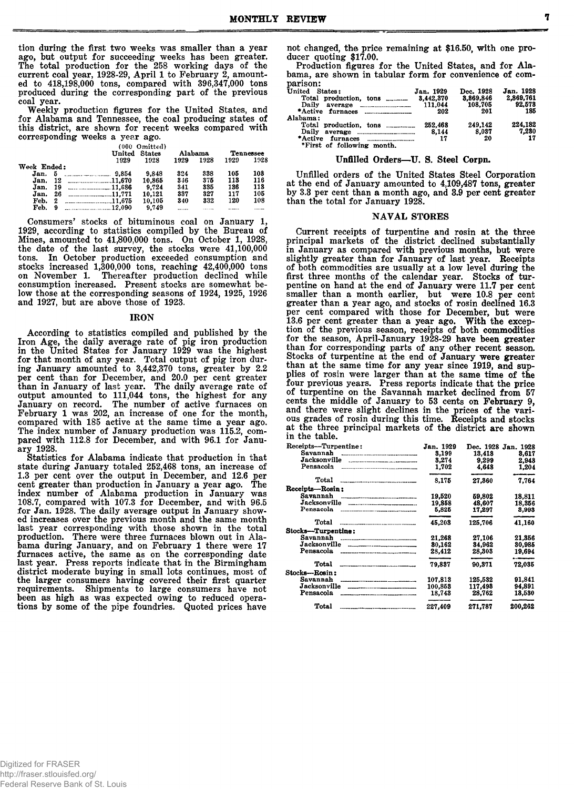tion during the first two weeks was smaller than a year ago, but output for succeeding weeks has been greater. The total production for the 258 working days of the current coal year, 1928-29, April 1 to February 2, amounted to 418,198,000 tons, compared with 396,347,000 tons produced during the corresponding part of the previous coal year.

Weekly production figures for the United States, and for Alabama and Tennessee, the coal producing states of this district, are shown for recent weeks compared with corresponding weeks a year ago.

|             |    |         | (000 Omitted) |      |         |      |                  |  |
|-------------|----|---------|---------------|------|---------|------|------------------|--|
|             |    | United  | States        |      | Alabama |      | <b>Tennessee</b> |  |
|             |    | 1929    | 1928          | 1929 | 1928    | 1929 | 1928             |  |
| Week Ended: |    |         |               |      |         |      |                  |  |
| Jan.        | Б  | 9.854   | 9.848         | 324  | 338     | 105  | 108              |  |
| Jan.        | 12 | 11.670  | 10.865        | 346  | 375     | 113  | 116              |  |
| Jan.        | 19 | 11.686  | 9.724         | 341  | 335     | 136  | 118              |  |
| Jan.        | 26 | .11.771 | 10.121        | 337  | 327     | 117  | 105              |  |
| Feb.        | 2  | 11.675  | 10,105        | 340  | 332     | 120  | 108              |  |
| Feb.        | 9  | 12.090  | 9.749         |      |         |      |                  |  |

 $\rm{Consumers'~stocks~of~bituminous~coal~on~January~1},$ 1929, according to statistics compiled by the Bureau of Mines, am ounted to 41,800,000 tons. On October 1, 1928, the date of the last survey, the stocks were  $41,100,000$ tons. In October production exceeded consumption and stocks increased 1,300,000 tons, reaching 42,400,000 tons on November 1. Thereafter production declined while consumption increased. Present stocks are somewhat below those at the corresponding seasons of 1924, 1925, 1926 and 1927, but are above those of 1923.

#### IRON

According to statistics compiled and published by the Iron Age, the daily average rate of pig iron production in the United States for January 1929 was the highest for that month of any year. Total output of pig iron during January amounted to 3,442,370 tons, greater by 2.2 per cent than for December, and 20.0 per cent greater than in January of last year. The daily average rate of output amounted to 111,044 tons, the highest for any January on record. The number of active furnaces on February 1 was 202, an increase of one for the month, compared with 185 active at the same time a year ago. The index number of January production was 115.2, compared with 112.8 for December, and with 96.1 for Janua ry 1928.

Statistics for Alabama indicate that production in that state during January totaled 252,468 tons, an increase of 1.3 per cent over the output in December, and 12.6 per cent greater than production in January a year ago. The index number of Alabama production in January was 108.7, compared with 107.3 for December, and with 96.5 for Jan. 1928. The daily average output in January showed increases over the previous month and the same month last year corresponding with those shown in the total production. There were three furnaces blown out in Alabama during January, and on February 1 there were 17 furnaces active, the same as on the corresponding date last year. Press reports indicate that in the Birmingham district moderate buying in small lots continues, most of the larger consumers having covered their first quarter requirements. Shipments to large consumers have not been as high as was expected owing to reduced operations by some of the pipe foundries. Quoted prices have

not changed, the price remaining at \$16.50, with one producer quoting \$17.00.

Production figures for the United States, and for Alabama, are shown in tabular form for convenience of comparison:

| United States:             | Jan. 1929 | Dec. 1928 | Jan. 1928 |
|----------------------------|-----------|-----------|-----------|
| Total production, tons     | 3.442.370 | 8.869.846 | 2.869.761 |
| Daily                      | 111.044   | 108,705   | 92.578    |
|                            | 202       | 201       | 185       |
| Alahama:                   |           |           |           |
|                            | 252.468   | 249.142   | 224,182   |
|                            | 8.144     | 8.037     | 7.230     |
| *First of following month. | 17        | 20        | 17        |

#### Unfilled Orders-U. S. Steel Corpn.

Unfilled orders of the United States Steel Corporation at the end of January amounted to 4,109,487 tons, greater by 3.3 per cent than a month ago, and 3.9 per cent greater than the total for January 1928.

# NAVAL STORES

Current receipts of turpentine and rosin at the three principal markets of the district declined substantially in January as compared with previous months, but were slightly greater than for January of last year. Receipts of both commodities are usually at a low level during the first three months of the calendar year. Stocks of turpentine on hand at the end of January were 11.7 per cent smaller than a month earlier, but were 10.8 per cent greater than a year ago, and stocks of rosin declined 16.3 per cent compared with those for December, but were 13.6 per cent greater than a year ago. With the exception of the previous season, receipts of both com modities for the season, April-January 1928-29 have been greater than for corresponding parts of any other recent season. Stocks of turpentine at the end of January were greater than at the same time for any year since 1919, and supplies of rosin were larger than at the same time of the four previous years. Press reports indicate that the price of turpentine on the Savannah market declined from 57 cents the middle of January to 53 cents on February 9, and there were slight declines in the prices of the various grades of rosin during this time. Receipts and stocks at the three principal markets of the district are shown in the table.

| Receipts-Turpentine: | Jan. 1929     | Dec. 1928      | Jan. 1928                  |
|----------------------|---------------|----------------|----------------------------|
| Savannah             | 3.199         | 13.418         | 8.617                      |
| Jacksonville         | 3.274         | 9.299          | 2.948                      |
| Pensacola            | 1.702         | 4.648          | 1.204                      |
| Total                | ____<br>8.175 | 27.360         | فسنحد والمالكونين<br>7.764 |
| Receipts—Rosin :     |               |                |                            |
| Savannah             | 19,520        | 59.802         | 18.811                     |
|                      | 19.858        | 48.607         | 18,356                     |
| Pensacola            | 5,825         | 17.297         | 8,993                      |
| Total                | 45,203        | 125.706        | 41.160                     |
| Stocks---Turpentine: |               |                |                            |
| Savannah             | 21.268        | 27.106         | 21.356                     |
|                      | 80,162        | 34.962         | 30,985                     |
| Pensacola            | 28,412        | 28.303         | 19.694                     |
| Total                | 79.837        | 90.371         | 72.035                     |
| Stocks—Rosin :       |               |                |                            |
| Savannah             | 107.813       | 125.532        | 91.841                     |
| Jacksonville         | 100.853       | 117.498        | 94.891                     |
| Pensacola            | 18,743        | 28,762         | 13,530                     |
| Total                | 227.409       | ___<br>271.787 | 200.262                    |